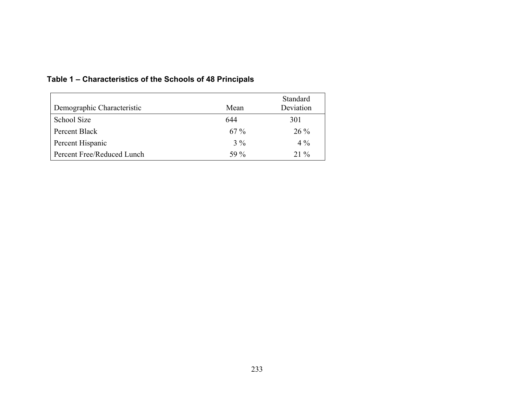| Demographic Characteristic | Mean   | <b>Standard</b><br>Deviation |
|----------------------------|--------|------------------------------|
| School Size                | 644    | 301                          |
| Percent Black              | $67\%$ | $26\%$                       |
| Percent Hispanic           | $3\%$  | $4\%$                        |
| Percent Free/Reduced Lunch | 59 %   | $21\%$                       |

## **Table 1 – Characteristics of the Schools of 48 Principals**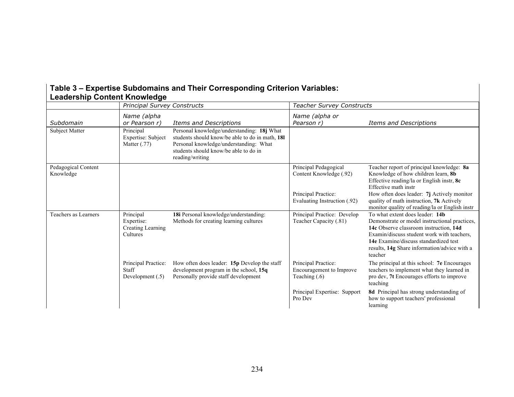| Leadership Content Knowledge     |                                                          |                                                                                                                                                                                                     |                                                                    |                                                                                                                                                                                                                                                                              |
|----------------------------------|----------------------------------------------------------|-----------------------------------------------------------------------------------------------------------------------------------------------------------------------------------------------------|--------------------------------------------------------------------|------------------------------------------------------------------------------------------------------------------------------------------------------------------------------------------------------------------------------------------------------------------------------|
|                                  | <b>Principal Survey Constructs</b>                       |                                                                                                                                                                                                     | <b>Teacher Survey Constructs</b>                                   |                                                                                                                                                                                                                                                                              |
| Subdomain                        | Name (alpha<br>or Pearson r)                             | <b>Items and Descriptions</b>                                                                                                                                                                       | Name (alpha or<br>Pearson r)                                       | <b>Items and Descriptions</b>                                                                                                                                                                                                                                                |
| Subject Matter                   | Principal<br>Expertise: Subject<br>Matter $(.77)$        | Personal knowledge/understanding: 18j What<br>students should know/be able to do in math, 181<br>Personal knowledge/understanding: What<br>students should know/be able to do in<br>reading/writing |                                                                    |                                                                                                                                                                                                                                                                              |
| Pedagogical Content<br>Knowledge |                                                          |                                                                                                                                                                                                     | Principal Pedagogical<br>Content Knowledge (.92)                   | Teacher report of principal knowledge: 8a<br>Knowledge of how children learn, 8b<br>Effective reading/la or English instr, 8c<br>Effective math instr                                                                                                                        |
|                                  |                                                          |                                                                                                                                                                                                     | Principal Practice:<br>Evaluating Instruction (.92)                | How often does leader: 7j Actively monitor<br>quality of math instruction, 7k Actively<br>monitor quality of reading/la or English instr                                                                                                                                     |
| Teachers as Learners             | Principal<br>Expertise:<br>Creating Learning<br>Cultures | 18i Personal knowledge/understanding:<br>Methods for creating learning cultures                                                                                                                     | Principal Practice: Develop<br>Teacher Capacity (.81)              | To what extent does leader: 14b<br>Demonstrate or model instructional practices,<br>14c Observe classroom instruction, 14d<br>Examin/discuss student work with teachers.<br>14e Examine/discuss standardized test<br>results, 14g Share information/advice with a<br>teacher |
|                                  | Principal Practice:<br>Staff<br>Development $(.5)$       | How often does leader: 15p Develop the staff<br>development program in the school, 15q<br>Personally provide staff development                                                                      | Principal Practice:<br>Encouragement to Improve<br>Teaching $(.6)$ | The principal at this school: 7e Encourages<br>teachers to implement what they learned in<br>pro dev, 7t Encourages efforts to improve<br>teaching                                                                                                                           |
|                                  |                                                          |                                                                                                                                                                                                     | Principal Expertise: Support<br>Pro Dev                            | <b>8d</b> Principal has strong understanding of<br>how to support teachers' professional<br>learning                                                                                                                                                                         |

## **Table 3 – Expertise Subdomains and Their Corresponding Criterion Variables: Leadership Content Knowledge**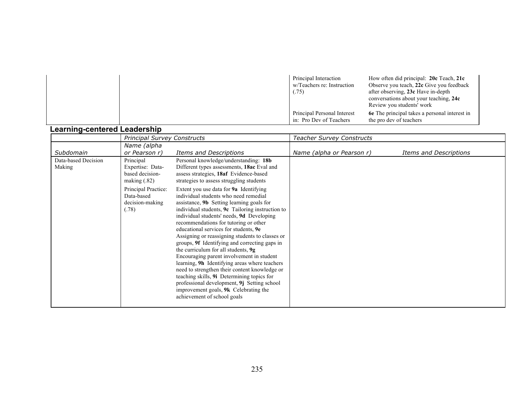| Principal Interaction<br>w/Teachers re: Instruction<br>(.75) | How often did principal: 20c Teach, 21c<br>Observe you teach, 22c Give you feedback<br>after observing, 23c Have in-depth<br>conversations about your teaching, 24c<br>Review you students' work |  |
|--------------------------------------------------------------|--------------------------------------------------------------------------------------------------------------------------------------------------------------------------------------------------|--|
| Principal Personal Interest<br>in: Pro Dev of Teachers       | <b>6</b> The principal takes a personal interest in<br>the pro dev of teachers                                                                                                                   |  |

## **Learning-centered Leadership**

|                               | <b>Principal Survey Constructs</b>                                 |                                                                                                                                                                                                                                                                                                                                                                                                                                                                                                                                                                                                                                                                                                                                                                                              | <b>Teacher Survey Constructs</b> |                        |  |
|-------------------------------|--------------------------------------------------------------------|----------------------------------------------------------------------------------------------------------------------------------------------------------------------------------------------------------------------------------------------------------------------------------------------------------------------------------------------------------------------------------------------------------------------------------------------------------------------------------------------------------------------------------------------------------------------------------------------------------------------------------------------------------------------------------------------------------------------------------------------------------------------------------------------|----------------------------------|------------------------|--|
| Subdomain                     | Name (alpha<br>or Pearson r)                                       | Items and Descriptions                                                                                                                                                                                                                                                                                                                                                                                                                                                                                                                                                                                                                                                                                                                                                                       | Name (alpha or Pearson r)        | Items and Descriptions |  |
| Data-based Decision<br>Making | Principal<br>Expertise: Data-<br>based decision-<br>making $(.82)$ | Personal knowledge/understanding: 18b<br>Different types assessments, 18ac Eval and<br>assess strategies, 18af Evidence-based<br>strategies to assess struggling students                                                                                                                                                                                                                                                                                                                                                                                                                                                                                                                                                                                                                    |                                  |                        |  |
|                               | Principal Practice:<br>Data-based<br>decision-making<br>(.78)      | Extent you use data for <b>9a</b> Identifying<br>individual students who need remedial<br>assistance, 9b Setting learning goals for<br>individual students, <b>9c</b> Tailoring instruction to<br>individual students' needs, 9d Developing<br>recommendations for tutoring or other<br>educational services for students, 9e<br>Assigning or reassigning students to classes or<br>groups, 9f Identifying and correcting gaps in<br>the curriculum for all students, 9g<br>Encouraging parent involvement in student<br>learning, 9h Identifying areas where teachers<br>need to strengthen their content knowledge or<br>teaching skills, 9i Determining topics for<br>professional development, 9j Setting school<br>improvement goals, 9k Celebrating the<br>achievement of school goals |                                  |                        |  |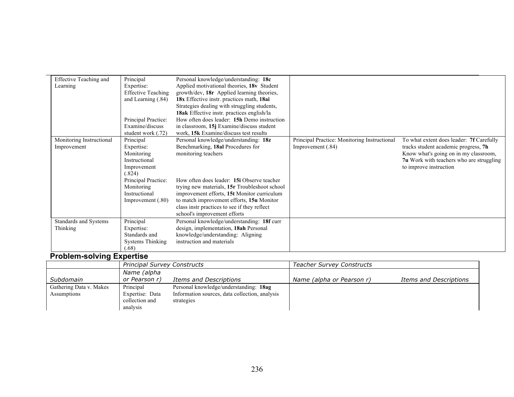| <b>Effective Teaching and</b> | Principal                 | Personal knowledge/understanding: 18c         |                                              |                                          |
|-------------------------------|---------------------------|-----------------------------------------------|----------------------------------------------|------------------------------------------|
| Learning                      | Expertise:                | Applied motivational theories, 18v Student    |                                              |                                          |
|                               | <b>Effective Teaching</b> | growth/dev, 18r Applied learning theories,    |                                              |                                          |
|                               | and Learning (.84)        | 18x Effective instr. practices math, 18ai     |                                              |                                          |
|                               |                           | Strategies dealing with struggling students,  |                                              |                                          |
|                               |                           | 18ak Effective instr. practices english/la    |                                              |                                          |
|                               | Principal Practice:       | How often does leader: 15h Demo instruction   |                                              |                                          |
|                               | Examine/discuss           | in classroom, 15j Examine/discuss student     |                                              |                                          |
|                               | student work (.72)        | work, 15k Examine/discuss test results        |                                              |                                          |
| Monitoring Instructional      | Principal                 | Personal knowledge/understanding: 18z         | Principal Practice: Monitoring Instructional | To what extent does leader: 7f Carefully |
| Improvement                   | Expertise:                | Benchmarking, 18al Procedures for             | Improvement (.84)                            | tracks student academic progress, 7h     |
|                               | Monitoring                | monitoring teachers                           |                                              | Know what's going on in my classroom,    |
|                               | Instructional             |                                               |                                              | 7u Work with teachers who are struggling |
|                               | Improvement               |                                               |                                              | to improve instruction                   |
|                               | (.824)                    |                                               |                                              |                                          |
|                               | Principal Practice:       | How often does leader: 15i Observe teacher    |                                              |                                          |
|                               | Monitoring                | trying new materials, 15r Troubleshoot school |                                              |                                          |
|                               | Instructional             | improvement efforts, 15t Monitor curriculum   |                                              |                                          |
|                               | Improvement $(.80)$       | to match improvement efforts, 15u Monitor     |                                              |                                          |
|                               |                           | class instr practices to see if they reflect  |                                              |                                          |
|                               |                           | school's improvement efforts                  |                                              |                                          |
| Standards and Systems         | Principal                 | Personal knowledge/understanding: 18f curr    |                                              |                                          |
| Thinking                      | Expertise:                | design, implementation, 18ah Personal         |                                              |                                          |
|                               | Standards and             | knowledge/understanding: Aligning             |                                              |                                          |
|                               | <b>Systems Thinking</b>   | instruction and materials                     |                                              |                                          |
|                               | (.68)                     |                                               |                                              |                                          |

## **Problem-solving Expertise**

|                         | <b>Principal Survey Constructs</b> |                                                | <b>Teacher Survey Constructs</b> |                        |
|-------------------------|------------------------------------|------------------------------------------------|----------------------------------|------------------------|
|                         | Name (alpha                        |                                                |                                  |                        |
| Subdomain               | or Pearson r)                      | Items and Descriptions                         | Name (alpha or Pearson r)        | Items and Descriptions |
| Gathering Data v. Makes | Principal                          | Personal knowledge/understanding: 18ag         |                                  |                        |
| Assumptions             | Expertise: Data                    | Information sources, data collection, analysis |                                  |                        |
|                         | collection and                     | strategies                                     |                                  |                        |
|                         | analysis                           |                                                |                                  |                        |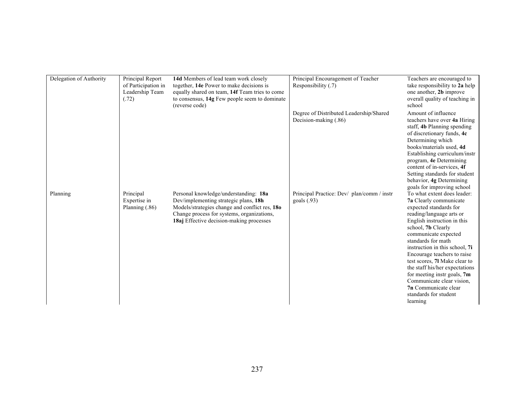| Delegation of Authority | Principal Report<br>of Participation in<br>Leadership Team<br>(.72) | 14d Members of lead team work closely<br>together, 14e Power to make decisions is<br>equally shared on team, 14f Team tries to come<br>to consensus, 14g Few people seem to dominate<br>(reverse code)                     | Principal Encouragement of Teacher<br>Responsibility (.7)        | Teachers are encouraged to<br>take responsibility to 2a help<br>one another, 2b improve<br>overall quality of teaching in<br>school                                                                                                                                                                                                                                                                                                                                                |
|-------------------------|---------------------------------------------------------------------|----------------------------------------------------------------------------------------------------------------------------------------------------------------------------------------------------------------------------|------------------------------------------------------------------|------------------------------------------------------------------------------------------------------------------------------------------------------------------------------------------------------------------------------------------------------------------------------------------------------------------------------------------------------------------------------------------------------------------------------------------------------------------------------------|
|                         |                                                                     |                                                                                                                                                                                                                            | Degree of Distributed Leadership/Shared<br>Decision-making (.86) | Amount of influence<br>teachers have over 4a Hiring<br>staff, 4b Planning spending<br>of discretionary funds, 4c<br>Determining which<br>books/materials used, 4d<br>Establishing curriculum/instr<br>program, 4e Determining<br>content of in-services, 4f<br>Setting standards for student<br>behavior, 4g Determining<br>goals for improving school                                                                                                                             |
| Planning                | Principal<br>Expertise in<br>Planning (.86)                         | Personal knowledge/understanding: 18a<br>Dev/implementing strategic plans, 18h<br>Models/strategies change and conflict res, 180<br>Change process for systems, organizations,<br>18aj Effective decision-making processes | Principal Practice: Dev/ plan/comm / instr<br>goals (.93)        | To what extent does leader:<br>7a Clearly communicate<br>expected standards for<br>reading/language arts or<br>English instruction in this<br>school, 7b Clearly<br>communicate expected<br>standards for math<br>instruction in this school, 7i<br>Encourage teachers to raise<br>test scores, 71 Make clear to<br>the staff his/her expectations<br>for meeting instr goals, 7m<br>Communicate clear vision,<br><b>7n</b> Communicate clear<br>standards for student<br>learning |